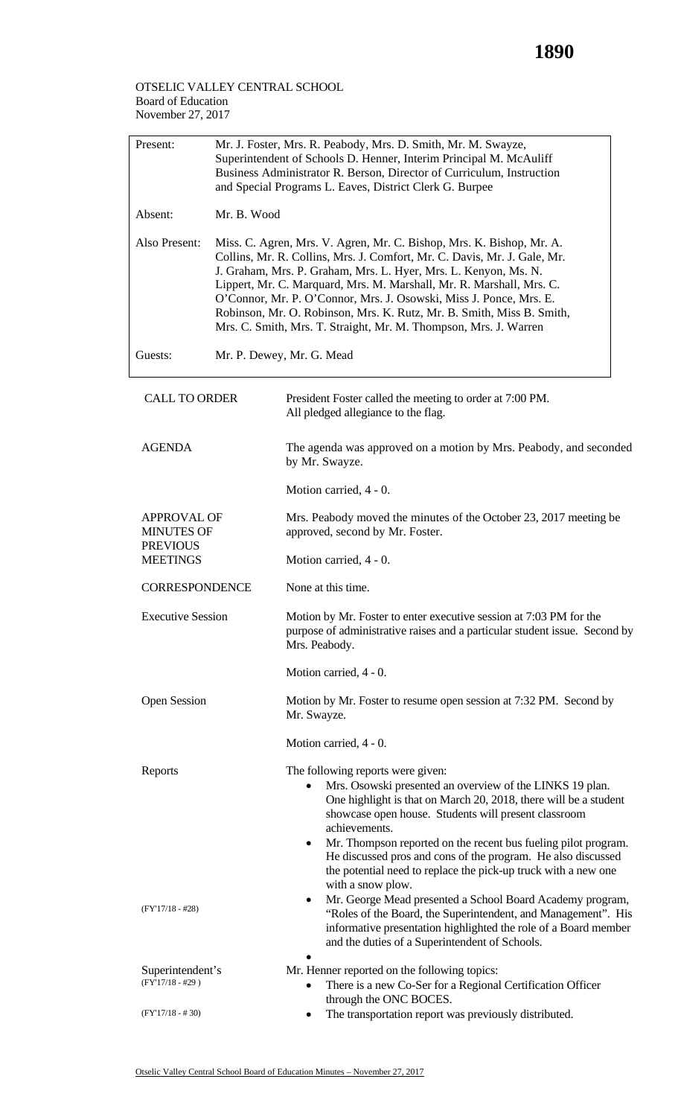## OTSELIC VALLEY CENTRAL SCHOOL Board of Education November 27, 2017

| Present:                                | Mr. J. Foster, Mrs. R. Peabody, Mrs. D. Smith, Mr. M. Swayze,<br>Superintendent of Schools D. Henner, Interim Principal M. McAuliff<br>Business Administrator R. Berson, Director of Curriculum, Instruction<br>and Special Programs L. Eaves, District Clerk G. Burpee |                                                                                                                                                                                                                                                                                                                                                                                                                                                                                                                |  |  |  |
|-----------------------------------------|-------------------------------------------------------------------------------------------------------------------------------------------------------------------------------------------------------------------------------------------------------------------------|----------------------------------------------------------------------------------------------------------------------------------------------------------------------------------------------------------------------------------------------------------------------------------------------------------------------------------------------------------------------------------------------------------------------------------------------------------------------------------------------------------------|--|--|--|
| Absent:                                 |                                                                                                                                                                                                                                                                         | Mr. B. Wood                                                                                                                                                                                                                                                                                                                                                                                                                                                                                                    |  |  |  |
| Also Present:                           |                                                                                                                                                                                                                                                                         | Miss. C. Agren, Mrs. V. Agren, Mr. C. Bishop, Mrs. K. Bishop, Mr. A.<br>Collins, Mr. R. Collins, Mrs. J. Comfort, Mr. C. Davis, Mr. J. Gale, Mr.<br>J. Graham, Mrs. P. Graham, Mrs. L. Hyer, Mrs. L. Kenyon, Ms. N.<br>Lippert, Mr. C. Marquard, Mrs. M. Marshall, Mr. R. Marshall, Mrs. C.<br>O'Connor, Mr. P. O'Connor, Mrs. J. Osowski, Miss J. Ponce, Mrs. E.<br>Robinson, Mr. O. Robinson, Mrs. K. Rutz, Mr. B. Smith, Miss B. Smith,<br>Mrs. C. Smith, Mrs. T. Straight, Mr. M. Thompson, Mrs. J. Warren |  |  |  |
| Guests:                                 | Mr. P. Dewey, Mr. G. Mead                                                                                                                                                                                                                                               |                                                                                                                                                                                                                                                                                                                                                                                                                                                                                                                |  |  |  |
| <b>CALL TO ORDER</b>                    |                                                                                                                                                                                                                                                                         | President Foster called the meeting to order at 7:00 PM.<br>All pledged allegiance to the flag.                                                                                                                                                                                                                                                                                                                                                                                                                |  |  |  |
| <b>AGENDA</b>                           |                                                                                                                                                                                                                                                                         | The agenda was approved on a motion by Mrs. Peabody, and seconded<br>by Mr. Swayze.                                                                                                                                                                                                                                                                                                                                                                                                                            |  |  |  |
|                                         |                                                                                                                                                                                                                                                                         | Motion carried, 4 - 0.                                                                                                                                                                                                                                                                                                                                                                                                                                                                                         |  |  |  |
| <b>APPROVAL OF</b><br><b>MINUTES OF</b> |                                                                                                                                                                                                                                                                         | Mrs. Peabody moved the minutes of the October 23, 2017 meeting be<br>approved, second by Mr. Foster.                                                                                                                                                                                                                                                                                                                                                                                                           |  |  |  |
| <b>PREVIOUS</b><br><b>MEETINGS</b>      |                                                                                                                                                                                                                                                                         | Motion carried, 4 - 0.                                                                                                                                                                                                                                                                                                                                                                                                                                                                                         |  |  |  |
| <b>CORRESPONDENCE</b>                   |                                                                                                                                                                                                                                                                         | None at this time.                                                                                                                                                                                                                                                                                                                                                                                                                                                                                             |  |  |  |
| <b>Executive Session</b>                |                                                                                                                                                                                                                                                                         | Motion by Mr. Foster to enter executive session at 7:03 PM for the<br>purpose of administrative raises and a particular student issue. Second by<br>Mrs. Peabody.                                                                                                                                                                                                                                                                                                                                              |  |  |  |
|                                         |                                                                                                                                                                                                                                                                         | Motion carried, 4 - 0.                                                                                                                                                                                                                                                                                                                                                                                                                                                                                         |  |  |  |
| <b>Open Session</b>                     |                                                                                                                                                                                                                                                                         | Motion by Mr. Foster to resume open session at 7:32 PM. Second by<br>Mr. Swayze.                                                                                                                                                                                                                                                                                                                                                                                                                               |  |  |  |
|                                         |                                                                                                                                                                                                                                                                         | Motion carried, 4 - 0.                                                                                                                                                                                                                                                                                                                                                                                                                                                                                         |  |  |  |
| Reports                                 |                                                                                                                                                                                                                                                                         | The following reports were given:<br>Mrs. Osowski presented an overview of the LINKS 19 plan.<br>One highlight is that on March 20, 2018, there will be a student<br>showcase open house. Students will present classroom<br>achievements.                                                                                                                                                                                                                                                                     |  |  |  |
|                                         |                                                                                                                                                                                                                                                                         | Mr. Thompson reported on the recent bus fueling pilot program.<br>٠<br>He discussed pros and cons of the program. He also discussed<br>the potential need to replace the pick-up truck with a new one<br>with a snow plow.                                                                                                                                                                                                                                                                                     |  |  |  |
| $(FY'17/18 - #28)$                      |                                                                                                                                                                                                                                                                         | Mr. George Mead presented a School Board Academy program,<br>٠<br>"Roles of the Board, the Superintendent, and Management". His<br>informative presentation highlighted the role of a Board member<br>and the duties of a Superintendent of Schools.                                                                                                                                                                                                                                                           |  |  |  |
| Superintendent's                        |                                                                                                                                                                                                                                                                         | Mr. Henner reported on the following topics:                                                                                                                                                                                                                                                                                                                                                                                                                                                                   |  |  |  |
| $(FY'17/18 - #29)$                      |                                                                                                                                                                                                                                                                         | There is a new Co-Ser for a Regional Certification Officer<br>through the ONC BOCES.                                                                                                                                                                                                                                                                                                                                                                                                                           |  |  |  |
| $(FY'17/18 - #30)$                      |                                                                                                                                                                                                                                                                         | The transportation report was previously distributed.                                                                                                                                                                                                                                                                                                                                                                                                                                                          |  |  |  |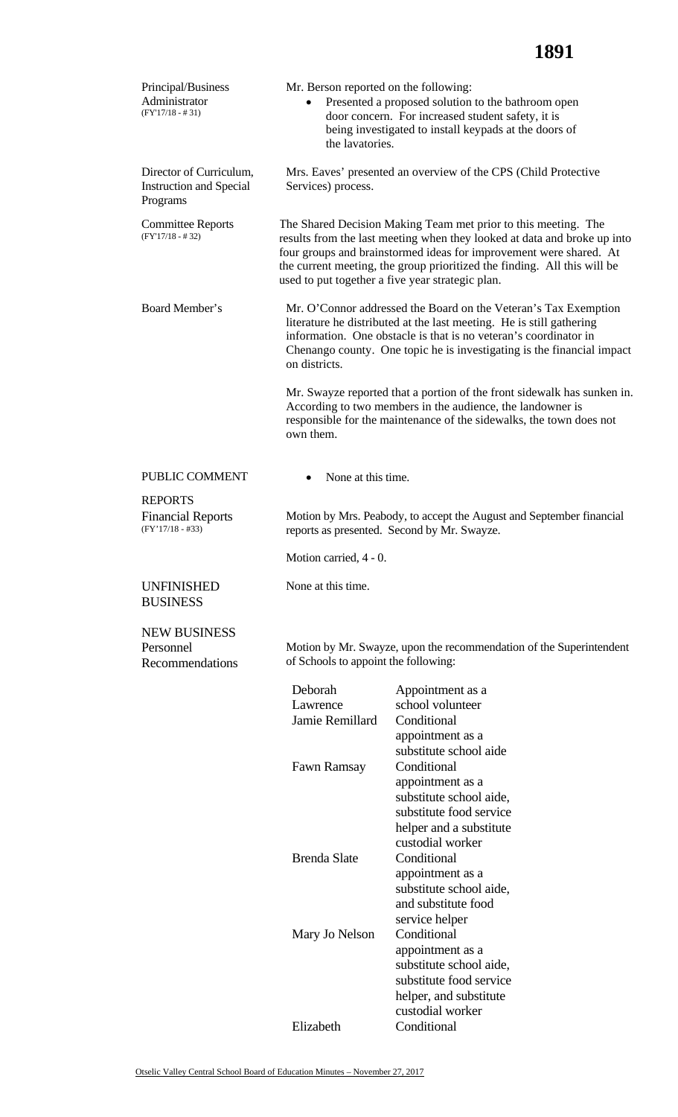| Principal/Business<br>Mr. Berson reported on the following:<br>Administrator<br>$(FY'17/18 - #31)$<br>the lavatories. |                                                                                                                                                                                                                                                                                                                                                  | Presented a proposed solution to the bathroom open<br>door concern. For increased student safety, it is<br>being investigated to install keypads at the doors of                                                                                                                      |  |  |  |
|-----------------------------------------------------------------------------------------------------------------------|--------------------------------------------------------------------------------------------------------------------------------------------------------------------------------------------------------------------------------------------------------------------------------------------------------------------------------------------------|---------------------------------------------------------------------------------------------------------------------------------------------------------------------------------------------------------------------------------------------------------------------------------------|--|--|--|
| Director of Curriculum,<br><b>Instruction and Special</b><br>Programs                                                 | Services) process.                                                                                                                                                                                                                                                                                                                               | Mrs. Eaves' presented an overview of the CPS (Child Protective                                                                                                                                                                                                                        |  |  |  |
| <b>Committee Reports</b><br>$(FY'17/18 - #32)$                                                                        | The Shared Decision Making Team met prior to this meeting. The<br>results from the last meeting when they looked at data and broke up into<br>four groups and brainstormed ideas for improvement were shared. At<br>the current meeting, the group prioritized the finding. All this will be<br>used to put together a five year strategic plan. |                                                                                                                                                                                                                                                                                       |  |  |  |
| Board Member's                                                                                                        | on districts.                                                                                                                                                                                                                                                                                                                                    | Mr. O'Connor addressed the Board on the Veteran's Tax Exemption<br>literature he distributed at the last meeting. He is still gathering<br>information. One obstacle is that is no veteran's coordinator in<br>Chenango county. One topic he is investigating is the financial impact |  |  |  |
|                                                                                                                       | Mr. Swayze reported that a portion of the front sidewalk has sunken in.<br>According to two members in the audience, the landowner is<br>responsible for the maintenance of the sidewalks, the town does not<br>own them.                                                                                                                        |                                                                                                                                                                                                                                                                                       |  |  |  |
| PUBLIC COMMENT                                                                                                        | None at this time.<br>$\bullet$                                                                                                                                                                                                                                                                                                                  |                                                                                                                                                                                                                                                                                       |  |  |  |
| <b>REPORTS</b><br><b>Financial Reports</b><br>$(FY'17/18 - #33)$                                                      |                                                                                                                                                                                                                                                                                                                                                  | Motion by Mrs. Peabody, to accept the August and September financial<br>reports as presented. Second by Mr. Swayze.                                                                                                                                                                   |  |  |  |
|                                                                                                                       | Motion carried, 4 - 0.                                                                                                                                                                                                                                                                                                                           |                                                                                                                                                                                                                                                                                       |  |  |  |
| <b>UNFINISHED</b><br><b>BUSINESS</b>                                                                                  | None at this time.                                                                                                                                                                                                                                                                                                                               |                                                                                                                                                                                                                                                                                       |  |  |  |
| <b>NEW BUSINESS</b><br>Personnel<br>Recommendations                                                                   | Motion by Mr. Swayze, upon the recommendation of the Superintendent<br>of Schools to appoint the following:                                                                                                                                                                                                                                      |                                                                                                                                                                                                                                                                                       |  |  |  |
|                                                                                                                       | Deborah<br>Lawrence<br>Jamie Remillard                                                                                                                                                                                                                                                                                                           | Appointment as a<br>school volunteer<br>Conditional<br>appointment as a<br>substitute school aide                                                                                                                                                                                     |  |  |  |
|                                                                                                                       | Fawn Ramsay                                                                                                                                                                                                                                                                                                                                      | Conditional<br>appointment as a<br>substitute school aide,<br>substitute food service<br>helper and a substitute<br>custodial worker                                                                                                                                                  |  |  |  |
|                                                                                                                       | <b>Brenda Slate</b>                                                                                                                                                                                                                                                                                                                              | Conditional<br>appointment as a<br>substitute school aide,<br>and substitute food<br>service helper                                                                                                                                                                                   |  |  |  |
|                                                                                                                       | Mary Jo Nelson                                                                                                                                                                                                                                                                                                                                   | Conditional<br>appointment as a<br>substitute school aide,<br>substitute food service<br>helper, and substitute<br>custodial worker                                                                                                                                                   |  |  |  |
|                                                                                                                       | Elizabeth                                                                                                                                                                                                                                                                                                                                        | Conditional                                                                                                                                                                                                                                                                           |  |  |  |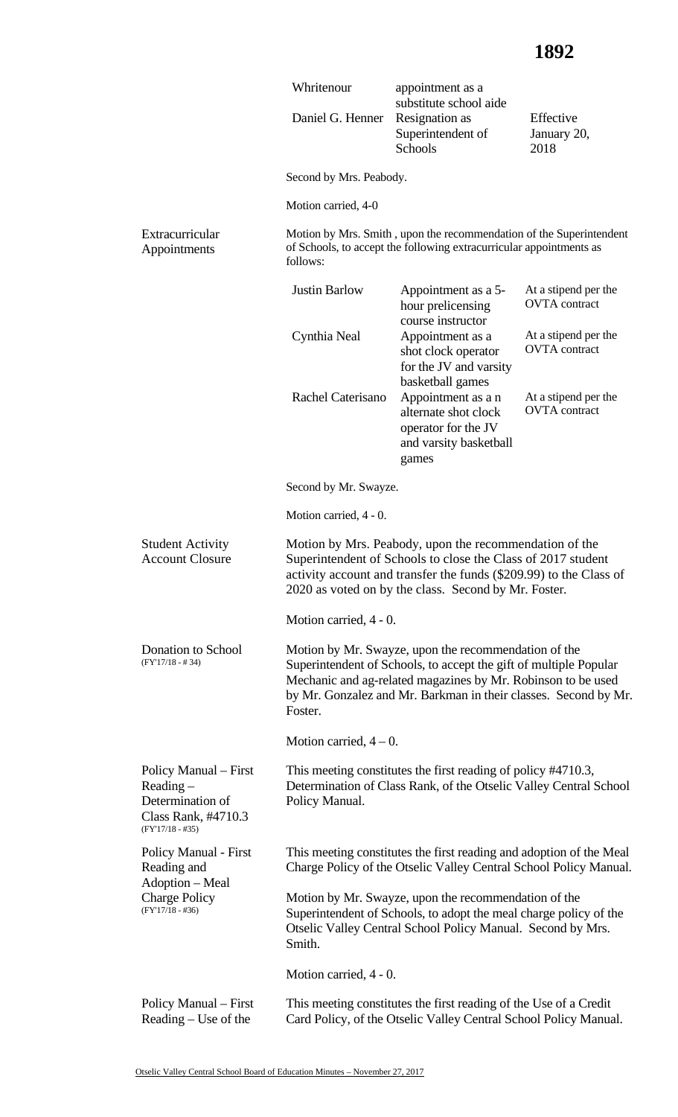|                                                                                                       | Whritenour                                                                                                                                                                                                                                                              | appointment as a<br>substitute school aide                                                                                                 |                                              |  |  |
|-------------------------------------------------------------------------------------------------------|-------------------------------------------------------------------------------------------------------------------------------------------------------------------------------------------------------------------------------------------------------------------------|--------------------------------------------------------------------------------------------------------------------------------------------|----------------------------------------------|--|--|
|                                                                                                       | Daniel G. Henner                                                                                                                                                                                                                                                        | Resignation as<br>Superintendent of<br>Schools                                                                                             | Effective<br>January 20,<br>2018             |  |  |
|                                                                                                       | Second by Mrs. Peabody.                                                                                                                                                                                                                                                 |                                                                                                                                            |                                              |  |  |
|                                                                                                       | Motion carried, 4-0                                                                                                                                                                                                                                                     |                                                                                                                                            |                                              |  |  |
| Extracurricular<br>Appointments                                                                       | follows:                                                                                                                                                                                                                                                                | Motion by Mrs. Smith, upon the recommendation of the Superintendent<br>of Schools, to accept the following extracurricular appointments as |                                              |  |  |
|                                                                                                       | <b>Justin Barlow</b>                                                                                                                                                                                                                                                    | Appointment as a 5-<br>hour prelicensing<br>course instructor                                                                              | At a stipend per the<br><b>OVTA</b> contract |  |  |
|                                                                                                       | Cynthia Neal                                                                                                                                                                                                                                                            | Appointment as a<br>shot clock operator<br>for the JV and varsity<br>basketball games                                                      | At a stipend per the<br><b>OVTA</b> contract |  |  |
|                                                                                                       | Rachel Caterisano                                                                                                                                                                                                                                                       | Appointment as a n<br>alternate shot clock<br>operator for the JV<br>and varsity basketball<br>games                                       | At a stipend per the<br><b>OVTA</b> contract |  |  |
|                                                                                                       | Second by Mr. Swayze.                                                                                                                                                                                                                                                   |                                                                                                                                            |                                              |  |  |
|                                                                                                       | Motion carried, 4 - 0.                                                                                                                                                                                                                                                  |                                                                                                                                            |                                              |  |  |
| <b>Student Activity</b><br><b>Account Closure</b>                                                     | Motion by Mrs. Peabody, upon the recommendation of the<br>Superintendent of Schools to close the Class of 2017 student<br>activity account and transfer the funds (\$209.99) to the Class of<br>2020 as voted on by the class. Second by Mr. Foster.                    |                                                                                                                                            |                                              |  |  |
|                                                                                                       | Motion carried, 4 - 0.                                                                                                                                                                                                                                                  |                                                                                                                                            |                                              |  |  |
| Donation to School<br>$(FY'17/18 - #34)$                                                              | Motion by Mr. Swayze, upon the recommendation of the<br>Superintendent of Schools, to accept the gift of multiple Popular<br>Mechanic and ag-related magazines by Mr. Robinson to be used<br>by Mr. Gonzalez and Mr. Barkman in their classes. Second by Mr.<br>Foster. |                                                                                                                                            |                                              |  |  |
|                                                                                                       | Motion carried, $4-0$ .                                                                                                                                                                                                                                                 |                                                                                                                                            |                                              |  |  |
| Policy Manual – First<br>$Reading -$<br>Determination of<br>Class Rank, #4710.3<br>$(FY'17/18 - #35)$ | This meeting constitutes the first reading of policy #4710.3,<br>Determination of Class Rank, of the Otselic Valley Central School<br>Policy Manual.                                                                                                                    |                                                                                                                                            |                                              |  |  |
| <b>Policy Manual - First</b><br>Reading and<br>Adoption - Meal                                        |                                                                                                                                                                                                                                                                         | This meeting constitutes the first reading and adoption of the Meal<br>Charge Policy of the Otselic Valley Central School Policy Manual.   |                                              |  |  |
| <b>Charge Policy</b><br>$(FY'17/18 - #36)$                                                            | Motion by Mr. Swayze, upon the recommendation of the<br>Superintendent of Schools, to adopt the meal charge policy of the<br>Otselic Valley Central School Policy Manual. Second by Mrs.<br>Smith.                                                                      |                                                                                                                                            |                                              |  |  |
|                                                                                                       | Motion carried, 4 - 0.                                                                                                                                                                                                                                                  |                                                                                                                                            |                                              |  |  |
| Policy Manual – First<br>Reading - Use of the                                                         |                                                                                                                                                                                                                                                                         | This meeting constitutes the first reading of the Use of a Credit<br>Card Policy, of the Otselic Valley Central School Policy Manual.      |                                              |  |  |